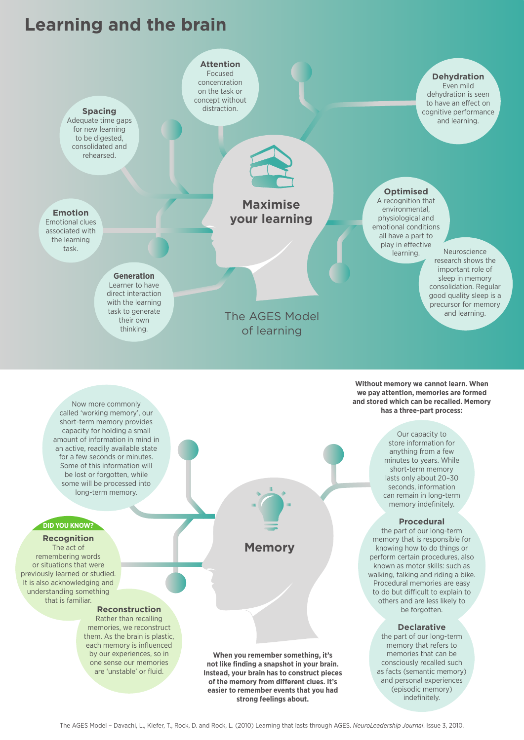# **Learning and the brain**



### **DID YOU KNOW?**

**Recognition** The act of remembering words or situations that were previously learned or studied. It is also acknowledging and understanding something that is familiar.

### **Reconstruction**

Rather than recalling memories, we reconstruct them. As the brain is plastic, each memory is influenced by our experiences, so in one sense our memories are 'unstable' or fluid.

**When you remember something, it's not like finding a snapshot in your brain. Instead, your brain has to construct pieces of the memory from different clues. It's easier to remember events that you had strong feelings about.**

**Memory**

**Procedural**

the part of our long-term memory that is responsible for knowing how to do things or perform certain procedures, also known as motor skills: such as walking, talking and riding a bike. Procedural memories are easy to do but difficult to explain to others and are less likely to be forgotten.

#### **Declarative**

the part of our long-term memory that refers to memories that can be consciously recalled such as facts (semantic memory) and personal experiences (episodic memory) indefinitely.